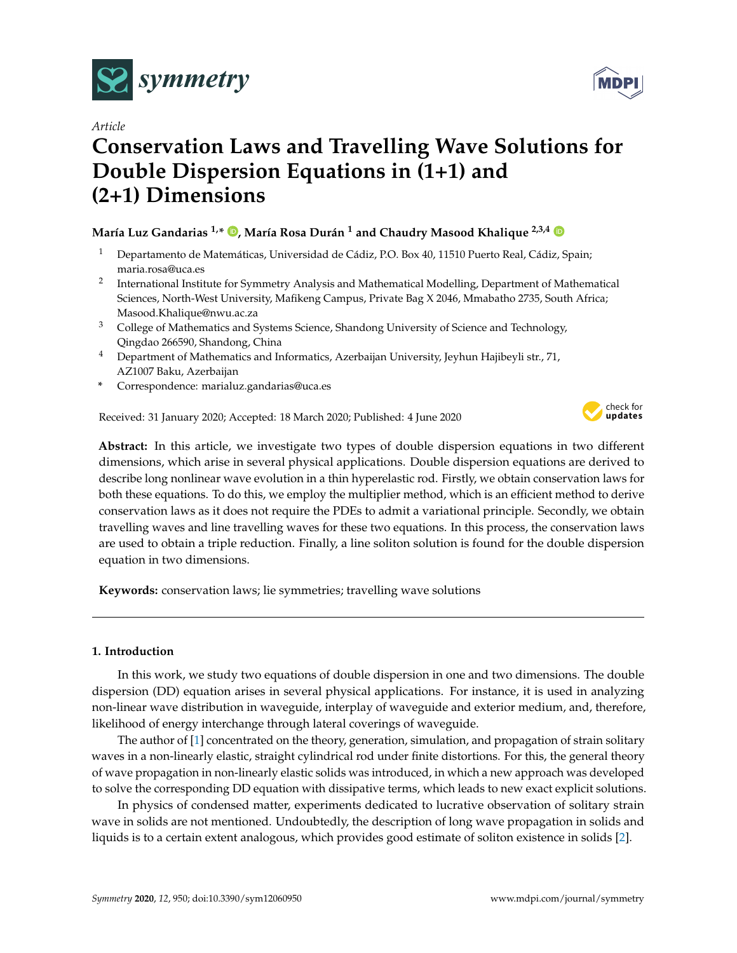

*Article*

# **Conservation Laws and Travelling Wave Solutions for Double Dispersion Equations in (1+1) and (2+1) Dimensions**

# **María Luz Gandarias 1,\* [,](https://orcid.org/0000-0001-8604-8272) María Rosa Durán <sup>1</sup> and Chaudry Masood Khalique 2,3,4**

- <sup>1</sup> Departamento de Matemáticas, Universidad de Cádiz, P.O. Box 40, 11510 Puerto Real, Cádiz, Spain; maria.rosa@uca.es
- 2 International Institute for Symmetry Analysis and Mathematical Modelling, Department of Mathematical Sciences, North-West University, Mafikeng Campus, Private Bag X 2046, Mmabatho 2735, South Africa; Masood.Khalique@nwu.ac.za
- $3$  College of Mathematics and Systems Science, Shandong University of Science and Technology, Qingdao 266590, Shandong, China
- <sup>4</sup> Department of Mathematics and Informatics, Azerbaijan University, Jeyhun Hajibeyli str., 71, AZ1007 Baku, Azerbaijan
- **\*** Correspondence: marialuz.gandarias@uca.es

Received: 31 January 2020; Accepted: 18 March 2020; Published: 4 June 2020



**Abstract:** In this article, we investigate two types of double dispersion equations in two different dimensions, which arise in several physical applications. Double dispersion equations are derived to describe long nonlinear wave evolution in a thin hyperelastic rod. Firstly, we obtain conservation laws for both these equations. To do this, we employ the multiplier method, which is an efficient method to derive conservation laws as it does not require the PDEs to admit a variational principle. Secondly, we obtain travelling waves and line travelling waves for these two equations. In this process, the conservation laws are used to obtain a triple reduction. Finally, a line soliton solution is found for the double dispersion equation in two dimensions.

**Keywords:** conservation laws; lie symmetries; travelling wave solutions

## **1. Introduction**

In this work, we study two equations of double dispersion in one and two dimensions. The double dispersion (DD) equation arises in several physical applications. For instance, it is used in analyzing non-linear wave distribution in waveguide, interplay of waveguide and exterior medium, and, therefore, likelihood of energy interchange through lateral coverings of waveguide.

The author of [\[1\]](#page-9-0) concentrated on the theory, generation, simulation, and propagation of strain solitary waves in a non-linearly elastic, straight cylindrical rod under finite distortions. For this, the general theory of wave propagation in non-linearly elastic solids was introduced, in which a new approach was developed to solve the corresponding DD equation with dissipative terms, which leads to new exact explicit solutions.

In physics of condensed matter, experiments dedicated to lucrative observation of solitary strain wave in solids are not mentioned. Undoubtedly, the description of long wave propagation in solids and liquids is to a certain extent analogous, which provides good estimate of soliton existence in solids [\[2\]](#page-9-1).

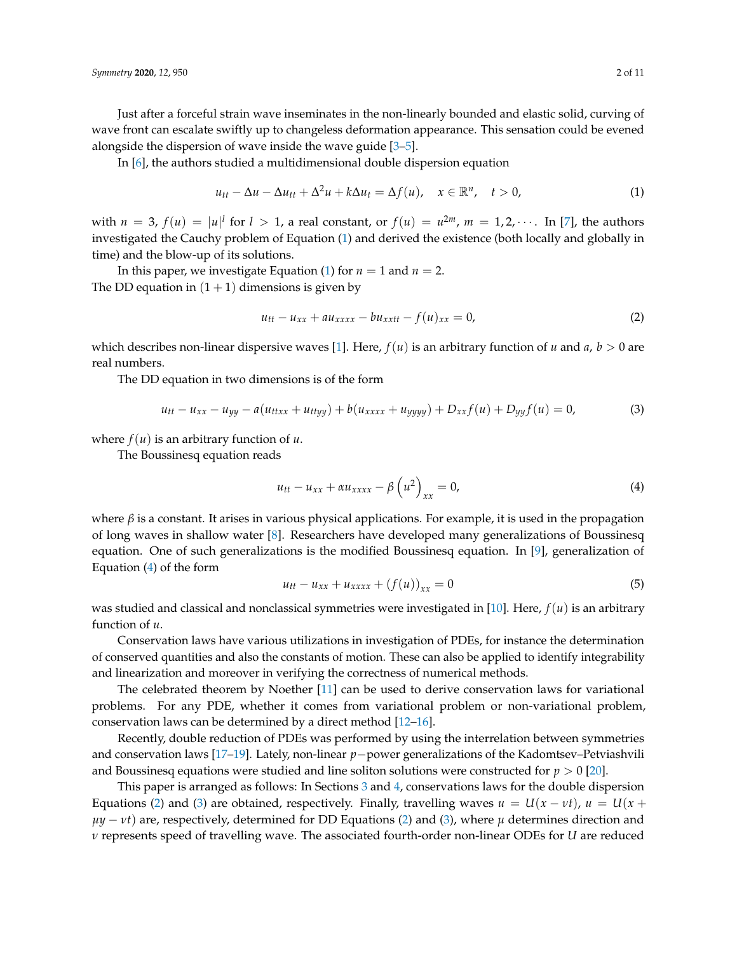Just after a forceful strain wave inseminates in the non-linearly bounded and elastic solid, curving of wave front can escalate swiftly up to changeless deformation appearance. This sensation could be evened alongside the dispersion of wave inside the wave guide [\[3–](#page-9-2)[5\]](#page-9-3).

In [\[6\]](#page-9-4), the authors studied a multidimensional double dispersion equation

<span id="page-1-0"></span>
$$
u_{tt} - \Delta u - \Delta u_{tt} + \Delta^2 u + k \Delta u_t = \Delta f(u), \quad x \in \mathbb{R}^n, \quad t > 0,
$$
 (1)

with  $n = 3$ ,  $f(u) = |u|^l$  for  $l > 1$ , a real constant, or  $f(u) = u^{2m}$ ,  $m = 1, 2, \cdots$ . In [\[7\]](#page-9-5), the authors investigated the Cauchy problem of Equation [\(1\)](#page-1-0) and derived the existence (both locally and globally in time) and the blow-up of its solutions.

In this paper, we investigate Equation [\(1\)](#page-1-0) for  $n = 1$  and  $n = 2$ . The DD equation in  $(1 + 1)$  dimensions is given by

<span id="page-1-2"></span>
$$
u_{tt} - u_{xx} + au_{xxxx} - bu_{xxtt} - f(u)_{xx} = 0,
$$
\n(2)

which describes non-linear dispersive waves [\[1\]](#page-9-0). Here,  $f(u)$  is an arbitrary function of *u* and *a*,  $b > 0$  are real numbers.

The DD equation in two dimensions is of the form

<span id="page-1-3"></span>
$$
u_{tt} - u_{xx} - u_{yy} - a(u_{ttxx} + u_{ttyy}) + b(u_{xxxx} + u_{yyyy}) + D_{xx}f(u) + D_{yy}f(u) = 0,
$$
 (3)

where  $f(u)$  is an arbitrary function of  $u$ .

The Boussinesq equation reads

<span id="page-1-1"></span>
$$
u_{tt} - u_{xx} + \alpha u_{xxxx} - \beta \left( u^2 \right)_{xx} = 0, \tag{4}
$$

where  $\beta$  is a constant. It arises in various physical applications. For example, it is used in the propagation of long waves in shallow water [\[8\]](#page-9-6). Researchers have developed many generalizations of Boussinesq equation. One of such generalizations is the modified Boussinesq equation. In [\[9\]](#page-9-7), generalization of Equation [\(4\)](#page-1-1) of the form

$$
u_{tt} - u_{xx} + u_{xxxx} + (f(u))_{xx} = 0
$$
\n(5)

was studied and classical and nonclassical symmetries were investigated in [\[10\]](#page-9-8). Here, *f*(*u*) is an arbitrary function of *u*.

Conservation laws have various utilizations in investigation of PDEs, for instance the determination of conserved quantities and also the constants of motion. These can also be applied to identify integrability and linearization and moreover in verifying the correctness of numerical methods.

The celebrated theorem by Noether [\[11\]](#page-9-9) can be used to derive conservation laws for variational problems. For any PDE, whether it comes from variational problem or non-variational problem, conservation laws can be determined by a direct method [\[12](#page-9-10)[–16\]](#page-9-11).

Recently, double reduction of PDEs was performed by using the interrelation between symmetries and conservation laws [\[17](#page-9-12)[–19\]](#page-9-13). Lately, non-linear *p*−power generalizations of the Kadomtsev–Petviashvili and Boussinesq equations were studied and line soliton solutions were constructed for *p* > 0 [\[20\]](#page-10-0).

This paper is arranged as follows: In Sections [3](#page-3-0) and [4,](#page-4-0) conservations laws for the double dispersion Equations [\(2\)](#page-1-2) and [\(3\)](#page-1-3) are obtained, respectively. Finally, travelling waves  $u = U(x - vt)$ ,  $u = U(x +$  $\mu y - \nu t$  are, respectively, determined for DD Equations [\(2\)](#page-1-2) and [\(3\)](#page-1-3), where  $\mu$  determines direction and *ν* represents speed of travelling wave. The associated fourth-order non-linear ODEs for *U* are reduced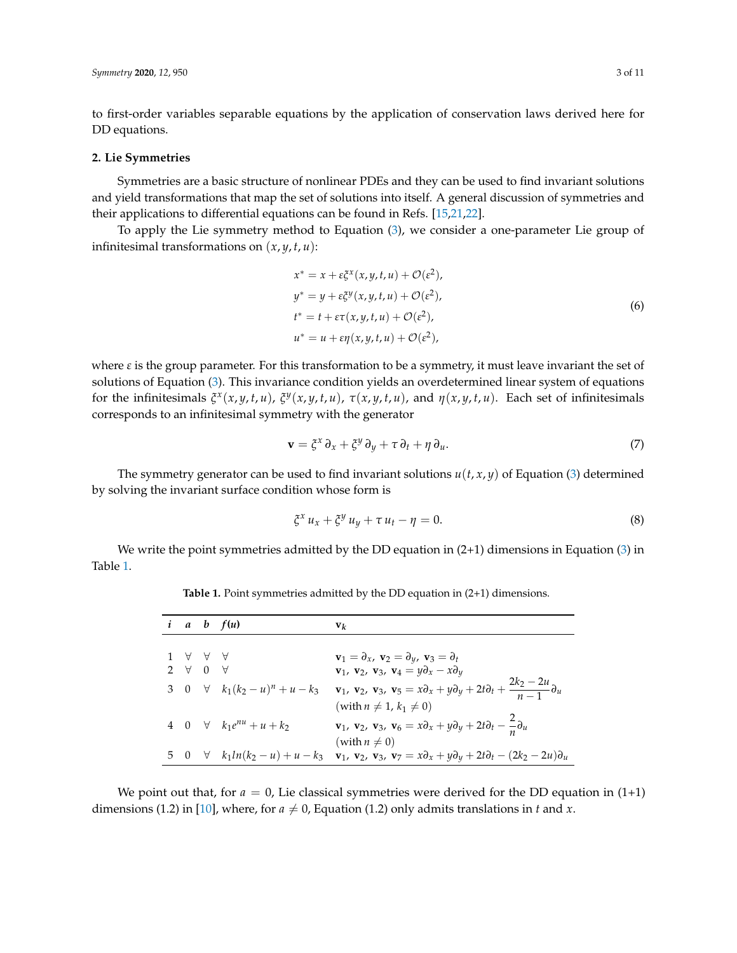to first-order variables separable equations by the application of conservation laws derived here for DD equations.

#### **2. Lie Symmetries**

Symmetries are a basic structure of nonlinear PDEs and they can be used to find invariant solutions and yield transformations that map the set of solutions into itself. A general discussion of symmetries and their applications to differential equations can be found in Refs. [\[15,](#page-9-14)[21,](#page-10-1)[22\]](#page-10-2).

To apply the Lie symmetry method to Equation [\(3\)](#page-1-3), we consider a one-parameter Lie group of infinitesimal transformations on  $(x, y, t, u)$ :

$$
x^* = x + \varepsilon \xi^x(x, y, t, u) + \mathcal{O}(\varepsilon^2),
$$
  
\n
$$
y^* = y + \varepsilon \xi^y(x, y, t, u) + \mathcal{O}(\varepsilon^2),
$$
  
\n
$$
t^* = t + \varepsilon \tau(x, y, t, u) + \mathcal{O}(\varepsilon^2),
$$
  
\n
$$
u^* = u + \varepsilon \eta(x, y, t, u) + \mathcal{O}(\varepsilon^2),
$$
\n(6)

where  $\varepsilon$  is the group parameter. For this transformation to be a symmetry, it must leave invariant the set of solutions of Equation [\(3\)](#page-1-3). This invariance condition yields an overdetermined linear system of equations for the infinitesimals  $\xi^x(x,y,t,u)$ ,  $\xi^y(x,y,t,u)$ ,  $\tau(x,y,t,u)$ , and  $\eta(x,y,t,u)$ . Each set of infinitesimals corresponds to an infinitesimal symmetry with the generator

$$
\mathbf{v} = \xi^x \, \partial_x + \xi^y \, \partial_y + \tau \, \partial_t + \eta \, \partial_u. \tag{7}
$$

The symmetry generator can be used to find invariant solutions  $u(t, x, y)$  of Equation [\(3\)](#page-1-3) determined by solving the invariant surface condition whose form is

$$
\xi^x u_x + \xi^y u_y + \tau u_t - \eta = 0. \tag{8}
$$

<span id="page-2-0"></span>We write the point symmetries admitted by the DD equation in  $(2+1)$  dimensions in Equation  $(3)$  in Table [1.](#page-2-0)

**Table 1.** Point symmetries admitted by the DD equation in (2+1) dimensions.

|                       | $a \quad b \quad f(u)$                   | $\mathbf{v}_k$                                                                                                                                                                     |
|-----------------------|------------------------------------------|------------------------------------------------------------------------------------------------------------------------------------------------------------------------------------|
|                       |                                          |                                                                                                                                                                                    |
| 1 A A A               |                                          | $\mathbf{v}_1 = \partial_x, \mathbf{v}_2 = \partial_y, \mathbf{v}_3 = \partial_t$                                                                                                  |
| $2 \forall 0 \forall$ |                                          | $\mathbf{v}_1$ , $\mathbf{v}_2$ , $\mathbf{v}_3$ , $\mathbf{v}_4 = y\partial_x - x\partial_y$                                                                                      |
|                       | 3 0 $\forall$ $k_1(k_2 - u)^n + u - k_3$ | $\mathbf{v}_1$ , $\mathbf{v}_2$ , $\mathbf{v}_3$ , $\mathbf{v}_5 = x\partial_x + y\partial_y + 2t\partial_t + \frac{2k_2 - 2u}{n - 1}\partial_u$                                   |
|                       |                                          | (with $n \neq 1$ , $k_1 \neq 0$ )                                                                                                                                                  |
|                       | 4 0 $\forall$ $k_1 e^{nu} + u + k_2$     | $\mathbf{v}_1$ , $\mathbf{v}_2$ , $\mathbf{v}_3$ , $\mathbf{v}_6 = x\partial_x + y\partial_y + 2t\partial_t - \frac{2}{x}\partial_u$                                               |
|                       |                                          | (with $n \neq 0$ )                                                                                                                                                                 |
|                       |                                          | 5 0 $\forall$ $k_1 ln(k_2 - u) + u - k_3$ $\mathbf{v}_1$ , $\mathbf{v}_2$ , $\mathbf{v}_3$ , $\mathbf{v}_7 = x \partial_x + y \partial_y + 2t \partial_t - (2k_2 - 2u) \partial_u$ |

We point out that, for  $a = 0$ , Lie classical symmetries were derived for the DD equation in  $(1+1)$ dimensions (1.2) in [\[10\]](#page-9-8), where, for  $a \neq 0$ , Equation (1.2) only admits translations in *t* and *x*.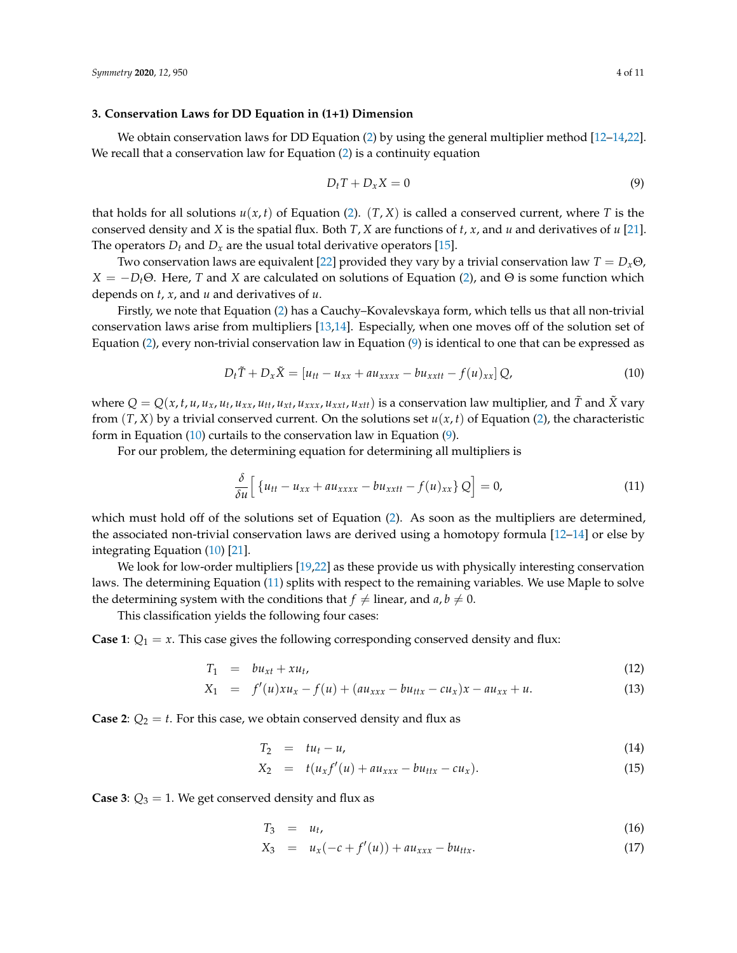#### <span id="page-3-0"></span>**3. Conservation Laws for DD Equation in (1+1) Dimension**

We obtain conservation laws for DD Equation [\(2\)](#page-1-2) by using the general multiplier method [\[12](#page-9-10)[–14](#page-9-15)[,22\]](#page-10-2). We recall that a conservation law for Equation [\(2\)](#page-1-2) is a continuity equation

<span id="page-3-1"></span>
$$
D_t T + D_x X = 0 \tag{9}
$$

that holds for all solutions  $u(x, t)$  of Equation [\(2\)](#page-1-2).  $(T, X)$  is called a conserved current, where *T* is the conserved density and *X* is the spatial flux. Both *T*, *X* are functions of *t*, *x*, and *u* and derivatives of *u* [\[21\]](#page-10-1). The operators  $D_t$  and  $D_x$  are the usual total derivative operators [\[15\]](#page-9-14).

Two conservation laws are equivalent [\[22\]](#page-10-2) provided they vary by a trivial conservation law  $T = D_x \Theta$ ,  $X = -D_t\Theta$ . Here, *T* and *X* are calculated on solutions of Equation [\(2\)](#page-1-2), and  $\Theta$  is some function which depends on *t*, *x*, and *u* and derivatives of *u*.

Firstly, we note that Equation [\(2\)](#page-1-2) has a Cauchy–Kovalevskaya form, which tells us that all non-trivial conservation laws arise from multipliers [\[13](#page-9-16)[,14\]](#page-9-15). Especially, when one moves off of the solution set of Equation [\(2\)](#page-1-2), every non-trivial conservation law in Equation [\(9\)](#page-3-1) is identical to one that can be expressed as

<span id="page-3-2"></span>
$$
D_t \tilde{T} + D_x \tilde{X} = \left[ u_{tt} - u_{xx} + a u_{xxxx} - b u_{xxtt} - f(u)_{xx} \right] Q, \qquad (10)
$$

where  $Q=Q(x,t,u,u_x,u_t,u_{xx},u_{tt},u_{xt},u_{xxx},u_{xtt},u_{xtt})$  is a conservation law multiplier, and  $\tilde{T}$  and  $\tilde{X}$  vary from  $(T, X)$  by a trivial conserved current. On the solutions set  $u(x, t)$  of Equation [\(2\)](#page-1-2), the characteristic form in Equation [\(10\)](#page-3-2) curtails to the conservation law in Equation [\(9\)](#page-3-1).

For our problem, the determining equation for determining all multipliers is

<span id="page-3-3"></span>
$$
\frac{\delta}{\delta u} \Big[ \left\{ u_{tt} - u_{xx} + a u_{xxxx} - b u_{xxtt} - f(u)_{xx} \right\} Q \Big] = 0, \tag{11}
$$

which must hold off of the solutions set of Equation [\(2\)](#page-1-2). As soon as the multipliers are determined, the associated non-trivial conservation laws are derived using a homotopy formula [\[12–](#page-9-10)[14\]](#page-9-15) or else by integrating Equation [\(10\)](#page-3-2) [\[21\]](#page-10-1).

We look for low-order multipliers [\[19](#page-9-13)[,22\]](#page-10-2) as these provide us with physically interesting conservation laws. The determining Equation [\(11\)](#page-3-3) splits with respect to the remaining variables. We use Maple to solve the determining system with the conditions that  $f \neq$  linear, and  $a, b \neq 0$ .

This classification yields the following four cases:

**Case 1**:  $Q_1 = x$ . This case gives the following corresponding conserved density and flux:

$$
T_1 = bu_{xt} + xu_t, \t\t(12)
$$

$$
X_1 = f'(u)xu_x - f(u) + (au_{xxx} - bu_{ttx} - cu_x)x - au_{xx} + u.
$$
 (13)

**Case 2**:  $Q_2 = t$ . For this case, we obtain conserved density and flux as

$$
T_2 = tu_t - u,\tag{14}
$$

$$
X_2 = t(u_x f'(u) + a u_{xxx} - b u_{ttx} - c u_x).
$$
 (15)

**Case 3**:  $Q_3 = 1$ . We get conserved density and flux as

$$
T_3 = u_t, \tag{16}
$$

$$
X_3 = u_x(-c + f'(u)) + au_{xxx} - bu_{ttx}.
$$
 (17)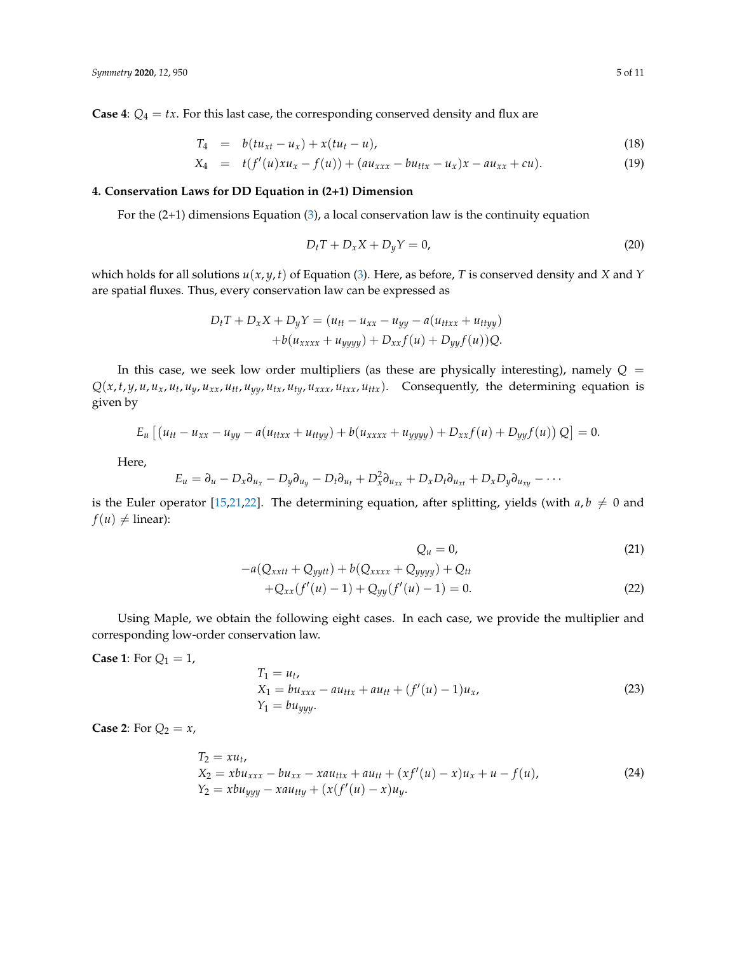**Case 4**:  $Q_4 = tx$ . For this last case, the corresponding conserved density and flux are

$$
T_4 = b(tu_{xt} - u_x) + x(tu_t - u), \tag{18}
$$

$$
X_4 = t(f'(u)xu_x - f(u)) + (au_{xxx} - bu_{ttx} - u_x)x - au_{xx} + cu).
$$
 (19)

### <span id="page-4-0"></span>**4. Conservation Laws for DD Equation in (2+1) Dimension**

For the  $(2+1)$  dimensions Equation  $(3)$ , a local conservation law is the continuity equation

$$
D_t T + D_x X + D_y Y = 0,
$$
\n<sup>(20)</sup>

which holds for all solutions  $u(x, y, t)$  of Equation [\(3\)](#page-1-3). Here, as before, *T* is conserved density and *X* and *Y* are spatial fluxes. Thus, every conservation law can be expressed as

$$
D_t T + D_x X + D_y Y = (u_{tt} - u_{xx} - u_{yy} - a(u_{ttxx} + u_{ttyy}) + b(u_{xxxx} + u_{yyyy}) + D_{xx}f(u) + D_{yy}f(u))Q.
$$

In this case, we seek low order multipliers (as these are physically interesting), namely  $Q =$  $Q(x, t, y, u, u_x, u_t, u_y, u_{xx}, u_{tt}, u_{yy}, u_{tx}, u_{ty}, u_{xxx}, u_{txx}, u_{ttx})$ . Consequently, the determining equation is given by

$$
E_u [(u_{tt} - u_{xx} - u_{yy} - a(u_{ttxx} + u_{ttyy}) + b(u_{xxxx} + u_{yyy} + D_{xx}f(u) + D_{yy}f(u)) Q] = 0.
$$

Here,

$$
E_u = \partial_u - D_x \partial_{u_x} - D_y \partial_{u_y} - D_t \partial_{u_t} + D_x^2 \partial_{u_{xx}} + D_x D_t \partial_{u_{xt}} + D_x D_y \partial_{u_{xy}} - \cdots
$$

is the Euler operator [\[15](#page-9-14)[,21](#page-10-1)[,22\]](#page-10-2). The determining equation, after splitting, yields (with  $a, b \neq 0$  and  $f(u) \neq$  linear):

$$
Q_u = 0,\t\t(21)
$$

$$
-a(Q_{xxtt} + Q_{yytt}) + b(Q_{xxxx} + Q_{yyyy}) + Q_{tt}
$$
  
+Q\_{xx}(f'(u) - 1) + Q\_{yy}(f'(u) - 1) = 0. (22)

Using Maple, we obtain the following eight cases. In each case, we provide the multiplier and corresponding low-order conservation law.

**Case 1:** For  $Q_1 = 1$ ,

$$
T_1 = u_t,
$$
  
\n
$$
X_1 = bu_{xxx} - au_{ttx} + au_{tt} + (f'(u) - 1)u_x,
$$
  
\n
$$
Y_1 = bu_{yyy}.
$$
\n(23)

**Case 2:** For  $Q_2 = x$ ,

$$
T_2 = xu_t,
$$
  
\n
$$
X_2 = xbu_{xxx} - bu_{xx} - xau_{ttx} + au_{tt} + (xf'(u) - x)u_x + u - f(u),
$$
  
\n
$$
Y_2 = xbu_{yyy} - xau_{tty} + (x(f'(u) - x)u_y).
$$
\n(24)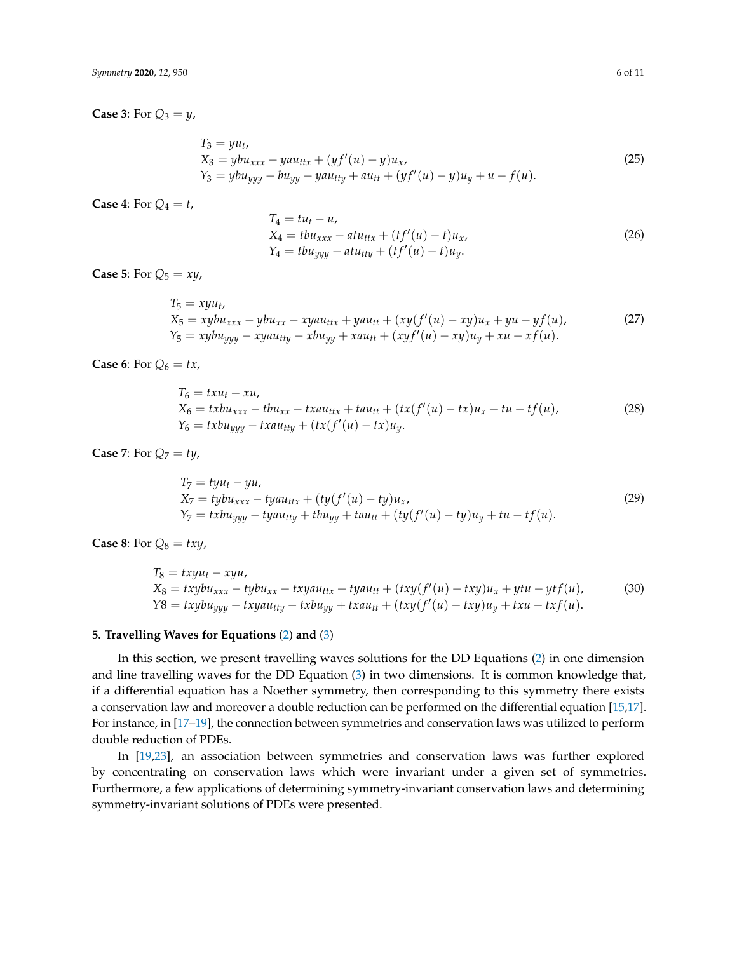**Case 3:** For  $Q_3 = y$ ,

$$
T_3 = yu_t, X_3 = ybu_{xxx} - yau_{ttx} + (yf'(u) - y)u_x, Y_3 = ybu_{yyy} - bu_{yy} - yau_{tty} + au_{tt} + (yf'(u) - y)u_y + u - f(u).
$$
 (25)

**Case 4**: For  $Q_4 = t$ ,

$$
T_4 = tu_t - u,
$$
  
\n
$$
X_4 = tbu_{xxx} - atu_{ttx} + (tf'(u) - t)u_x,
$$
  
\n
$$
Y_4 = tbu_{yyy} - atu_{tty} + (tf'(u) - t)u_y.
$$
\n(26)

**Case 5:** For  $Q_5 = xy$ ,

$$
T_5 = xyu_t, X_5 = xybu_{xxx} - ybu_{xx} - xyau_{ttx} + yau_{tt} + (xy(f'(u) - xy)u_x + yu - yf(u), Y_5 = xybu_{yyy} - xyau_{tty} - xbu_{yy} + xau_{tt} + (xyf'(u) - xy)u_y + xu - xf(u).
$$
 (27)

**Case 6**: For  $Q_6 = tx$ ,

$$
T_6 = txu_t - xu,
$$
  
\n
$$
X_6 = txbu_{xxx} - tbu_{xx} - txau_{ttx} + tau_{tt} + (tx(f'(u) - tx)u_x + tu - tf(u)),
$$
  
\n
$$
Y_6 = txbu_{yyy} - txau_{tty} + (tx(f'(u) - tx)u_y).
$$
\n(28)

**Case 7:** For  $Q_7 = ty$ ,

$$
T_7 = tyu_t - yu,
$$
  
\n
$$
X_7 = tybu_{xxx} - tyau_{ttx} + (ty(f'(u) - ty)u_x,
$$
  
\n
$$
Y_7 = txbu_{yyy} - tyau_{tty} + tub_{yy} + tau_{tt} + (ty(f'(u) - ty)u_y + tu - tf(u).
$$
\n(29)

**Case 8:** For  $Q_8 = txy$ ,

$$
T_8 = txyu_t - xyu,
$$
  
\n
$$
X_8 = txybu_{xxx} - tybu_{xx} - txyau_{ttx} + tyau_{tt} + (txy(f'(u) - txy)u_x + ytu - ytf(u),
$$
\n
$$
Y8 = txybu_{yyy} - txyau_{tty} - txbu_{yy} + txau_{tt} + (txy(f'(u) - txy)u_y + txu - txf(u).
$$
\n(30)

#### **5. Travelling Waves for Equations** [\(2\)](#page-1-2) **and** [\(3\)](#page-1-3)

In this section, we present travelling waves solutions for the DD Equations [\(2\)](#page-1-2) in one dimension and line travelling waves for the DD Equation [\(3\)](#page-1-3) in two dimensions. It is common knowledge that, if a differential equation has a Noether symmetry, then corresponding to this symmetry there exists a conservation law and moreover a double reduction can be performed on the differential equation [\[15,](#page-9-14)[17\]](#page-9-12). For instance, in [\[17](#page-9-12)[–19\]](#page-9-13), the connection between symmetries and conservation laws was utilized to perform double reduction of PDEs.

In [\[19,](#page-9-13)[23\]](#page-10-3), an association between symmetries and conservation laws was further explored by concentrating on conservation laws which were invariant under a given set of symmetries. Furthermore, a few applications of determining symmetry-invariant conservation laws and determining symmetry-invariant solutions of PDEs were presented.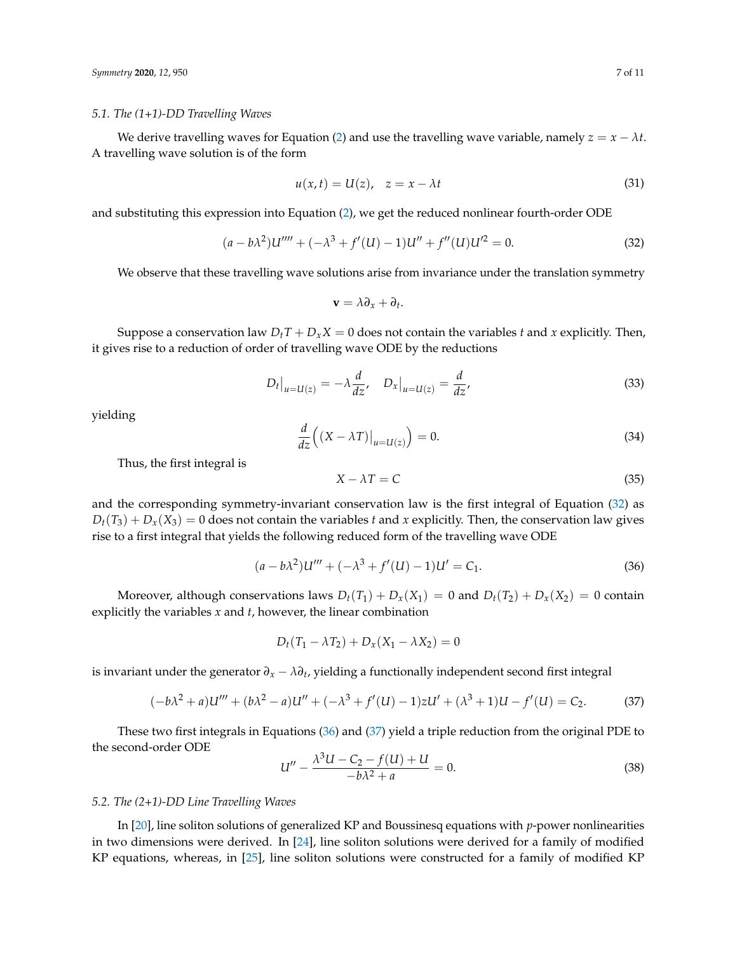#### *5.1. The (1+1)-DD Travelling Waves*

We derive travelling waves for Equation [\(2\)](#page-1-2) and use the travelling wave variable, namely  $z = x - \lambda t$ . A travelling wave solution is of the form

$$
u(x,t) = U(z), \quad z = x - \lambda t \tag{31}
$$

and substituting this expression into Equation [\(2\)](#page-1-2), we get the reduced nonlinear fourth-order ODE

<span id="page-6-0"></span>
$$
(a - b\lambda^2)U''' + (-\lambda^3 + f'(U) - 1)U'' + f''(U)U'^2 = 0.
$$
 (32)

We observe that these travelling wave solutions arise from invariance under the translation symmetry

$$
\mathbf{v} = \lambda \partial_x + \partial_t.
$$

Suppose a conservation law  $D_t T + D_x X = 0$  does not contain the variables *t* and *x* explicitly. Then, it gives rise to a reduction of order of travelling wave ODE by the reductions

$$
D_t|_{u=U(z)} = -\lambda \frac{d}{dz}, \quad D_x|_{u=U(z)} = \frac{d}{dz}, \tag{33}
$$

yielding

$$
\frac{d}{dz}\left((X-\lambda T)\big|_{u=U(z)}\right) = 0.\tag{34}
$$

Thus, the first integral is

$$
X - \lambda T = C \tag{35}
$$

and the corresponding symmetry-invariant conservation law is the first integral of Equation [\(32\)](#page-6-0) as  $D_t(T_3) + D_x(X_3) = 0$  does not contain the variables *t* and *x* explicitly. Then, the conservation law gives rise to a first integral that yields the following reduced form of the travelling wave ODE

<span id="page-6-1"></span>
$$
(a - b\lambda^2)U''' + (-\lambda^3 + f'(U) - 1)U' = C_1.
$$
\n(36)

Moreover, although conservations laws  $D_t(T_1) + D_x(X_1) = 0$  and  $D_t(T_2) + D_x(X_2) = 0$  contain explicitly the variables *x* and *t*, however, the linear combination

$$
D_t(T_1 - \lambda T_2) + D_x(X_1 - \lambda X_2) = 0
$$

is invariant under the generator *∂<sup>x</sup>* − *λ∂<sup>t</sup>* , yielding a functionally independent second first integral

<span id="page-6-2"></span>
$$
(-b\lambda^2 + a)U''' + (b\lambda^2 - a)U'' + (-\lambda^3 + f'(U) - 1)zU' + (\lambda^3 + 1)U - f'(U) = C_2.
$$
 (37)

These two first integrals in Equations [\(36\)](#page-6-1) and [\(37\)](#page-6-2) yield a triple reduction from the original PDE to the second-order ODE

$$
U'' - \frac{\lambda^3 U - C_2 - f(U) + U}{-\lambda^2 + a} = 0.
$$
\n(38)

#### *5.2. The (2+1)-DD Line Travelling Waves*

In [\[20\]](#page-10-0), line soliton solutions of generalized KP and Boussinesq equations with *p*-power nonlinearities in two dimensions were derived. In [\[24\]](#page-10-4), line soliton solutions were derived for a family of modified KP equations, whereas, in [\[25\]](#page-10-5), line soliton solutions were constructed for a family of modified KP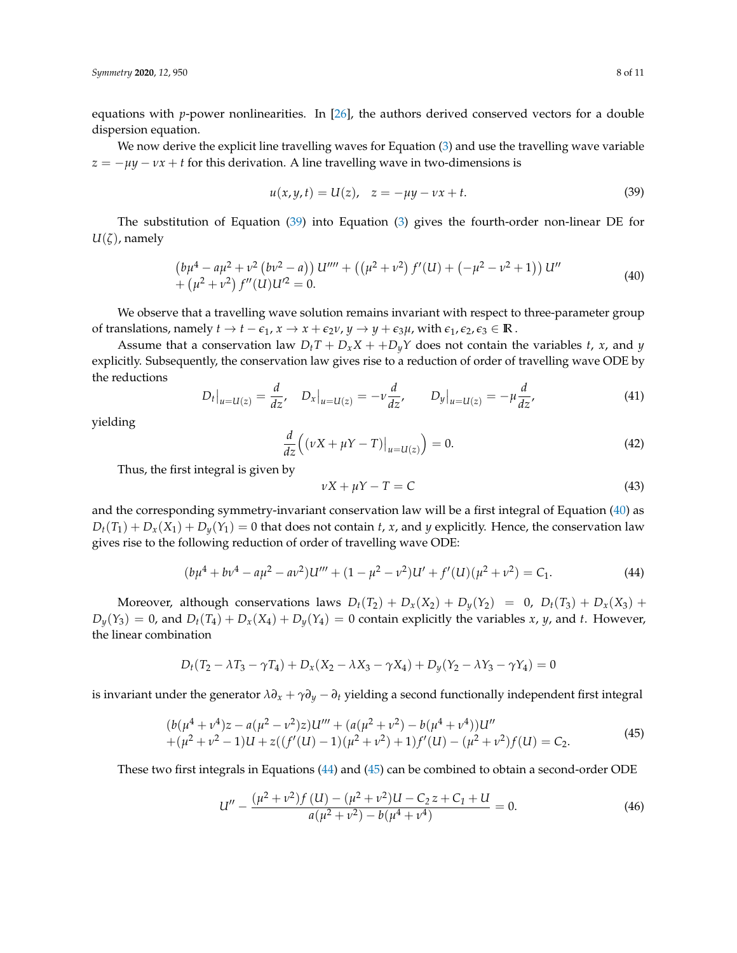equations with *p*-power nonlinearities. In [\[26\]](#page-10-6), the authors derived conserved vectors for a double dispersion equation.

We now derive the explicit line travelling waves for Equation [\(3\)](#page-1-3) and use the travelling wave variable  $z = -\mu y - \nu x + t$  for this derivation. A line travelling wave in two-dimensions is

<span id="page-7-0"></span>
$$
u(x, y, t) = U(z), \quad z = -\mu y - \nu x + t.
$$
 (39)

The substitution of Equation [\(39\)](#page-7-0) into Equation [\(3\)](#page-1-3) gives the fourth-order non-linear DE for  $U(\zeta)$ , namely

<span id="page-7-1"></span>
$$
\left(b\mu^4 - a\mu^2 + \nu^2\left(b\nu^2 - a\right)\right)U'''' + \left(\left(\mu^2 + \nu^2\right)f'(U) + \left(-\mu^2 - \nu^2 + 1\right)\right)U'' + \left(\mu^2 + \nu^2\right)f''(U)U'^2 = 0.
$$
\n(40)

We observe that a travelling wave solution remains invariant with respect to three-parameter group of translations, namely  $t \to t - \epsilon_1$ ,  $x \to x + \epsilon_2 \nu$ ,  $y \to y + \epsilon_3 \mu$ , with  $\epsilon_1$ ,  $\epsilon_2$ ,  $\epsilon_3 \in \mathbb{R}$ .

Assume that a conservation law  $D_tT + D_xX + D_yY$  does not contain the variables *t*, *x*, and *y* explicitly. Subsequently, the conservation law gives rise to a reduction of order of travelling wave ODE by the reductions

$$
D_t|_{u=U(z)} = \frac{d}{dz}, \quad D_x|_{u=U(z)} = -\nu \frac{d}{dz}, \qquad D_y|_{u=U(z)} = -\mu \frac{d}{dz}, \tag{41}
$$

yielding

$$
\frac{d}{dz}\left((\nu X + \mu Y - T)\big|_{u=U(z)}\right) = 0.\tag{42}
$$

Thus, the first integral is given by

$$
\nu X + \mu Y - T = C \tag{43}
$$

and the corresponding symmetry-invariant conservation law will be a first integral of Equation [\(40\)](#page-7-1) as  $D_t(T_1) + D_x(X_1) + D_y(Y_1) = 0$  that does not contain *t*, *x*, and *y* explicitly. Hence, the conservation law gives rise to the following reduction of order of travelling wave ODE:

<span id="page-7-2"></span>
$$
(b\mu^4 + b\nu^4 - a\mu^2 - a\nu^2)U''' + (1 - \mu^2 - \nu^2)U' + f'(U)(\mu^2 + \nu^2) = C_1.
$$
 (44)

Moreover, although conservations laws  $D_t(T_2) + D_x(X_2) + D_y(Y_2) = 0$ ,  $D_t(T_3) + D_x(X_3) + D_y(Y_3)$  $D_y(Y_3) = 0$ , and  $D_t(T_4) + D_x(X_4) + D_y(Y_4) = 0$  contain explicitly the variables *x*, *y*, and *t*. However, the linear combination

$$
D_t(T_2 - \lambda T_3 - \gamma T_4) + D_x(X_2 - \lambda X_3 - \gamma X_4) + D_y(Y_2 - \lambda Y_3 - \gamma Y_4) = 0
$$

is invariant under the generator  $\lambda \partial_x + \gamma \partial_y - \partial_t$  yielding a second functionally independent first integral

<span id="page-7-3"></span>
$$
(b(\mu^{4} + \nu^{4})z - a(\mu^{2} - \nu^{2})z)U''' + (a(\mu^{2} + \nu^{2}) - b(\mu^{4} + \nu^{4}))U'' + (\mu^{2} + \nu^{2} - 1)U + z((f'(U) - 1)(\mu^{2} + \nu^{2}) + 1)f'(U) - (\mu^{2} + \nu^{2})f(U) = C_{2}.
$$
\n(45)

These two first integrals in Equations [\(44\)](#page-7-2) and [\(45\)](#page-7-3) can be combined to obtain a second-order ODE

<span id="page-7-4"></span>
$$
U'' - \frac{(\mu^2 + \nu^2)f(U) - (\mu^2 + \nu^2)U - C_2 z + C_1 + U}{a(\mu^2 + \nu^2) - b(\mu^4 + \nu^4)} = 0.
$$
\n(46)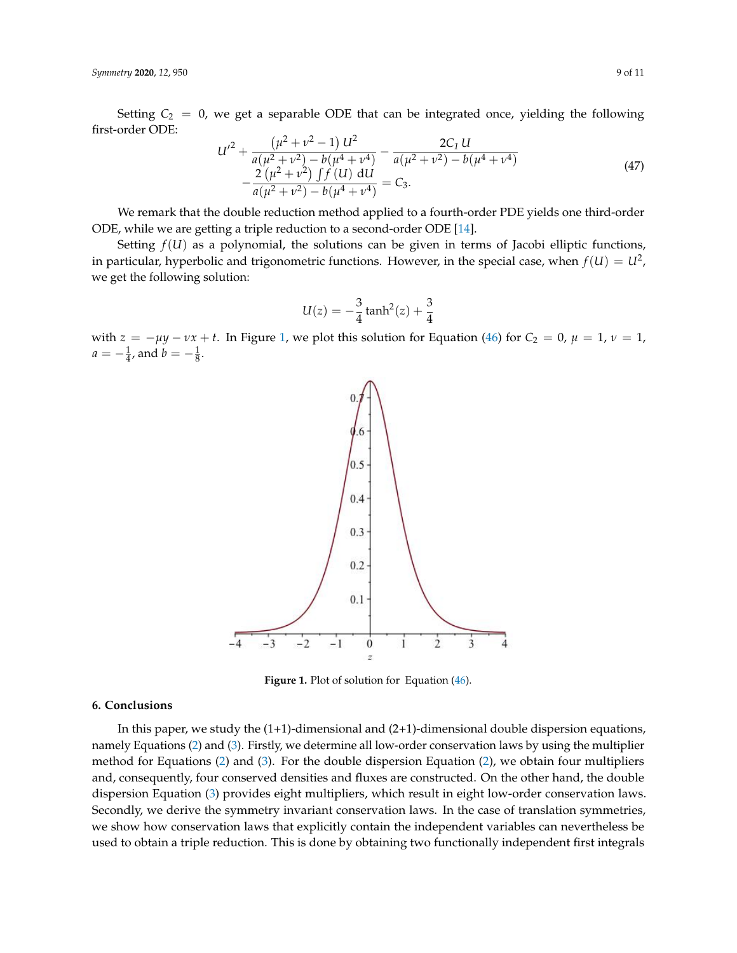Setting  $C_2 = 0$ , we get a separable ODE that can be integrated once, yielding the following first-order ODE:

$$
U'^{2} + \frac{(\mu^{2} + \nu^{2} - 1) U^{2}}{a(\mu^{2} + \nu^{2}) - b(\mu^{4} + \nu^{4})} - \frac{2C_{1} U}{a(\mu^{2} + \nu^{2}) - b(\mu^{4} + \nu^{4})} - \frac{2(\mu^{2} + \nu^{2}) \int f(U) dU}{a(\mu^{2} + \nu^{2}) - b(\mu^{4} + \nu^{4})} = C_{3}.
$$
\n(47)

We remark that the double reduction method applied to a fourth-order PDE yields one third-order ODE, while we are getting a triple reduction to a second-order ODE [\[14\]](#page-9-15).

Setting  $f(U)$  as a polynomial, the solutions can be given in terms of Jacobi elliptic functions, in particular, hyperbolic and trigonometric functions. However, in the special case, when  $f(U) = U^2$ , we get the following solution:

$$
U(z) = -\frac{3}{4} \tanh^2(z) + \frac{3}{4}
$$

<span id="page-8-0"></span>with  $z = -\mu y - \nu x + t$ . In Figure [1,](#page-8-0) we plot this solution for Equation [\(46\)](#page-7-4) for  $C_2 = 0$ ,  $\mu = 1$ ,  $\nu = 1$ ,  $a = -\frac{1}{4}$ , and  $b = -\frac{1}{8}$ .



Figure 1. Plot of solution for Equation [\(46\)](#page-7-4).

#### **6. Conclusions**

In this paper, we study the  $(1+1)$ -dimensional and  $(2+1)$ -dimensional double dispersion equations, namely Equations [\(2\)](#page-1-2) and [\(3\)](#page-1-3). Firstly, we determine all low-order conservation laws by using the multiplier method for Equations [\(2\)](#page-1-2) and [\(3\)](#page-1-3). For the double dispersion Equation [\(2\)](#page-1-2), we obtain four multipliers and, consequently, four conserved densities and fluxes are constructed. On the other hand, the double dispersion Equation [\(3\)](#page-1-3) provides eight multipliers, which result in eight low-order conservation laws. Secondly, we derive the symmetry invariant conservation laws. In the case of translation symmetries, we show how conservation laws that explicitly contain the independent variables can nevertheless be used to obtain a triple reduction. This is done by obtaining two functionally independent first integrals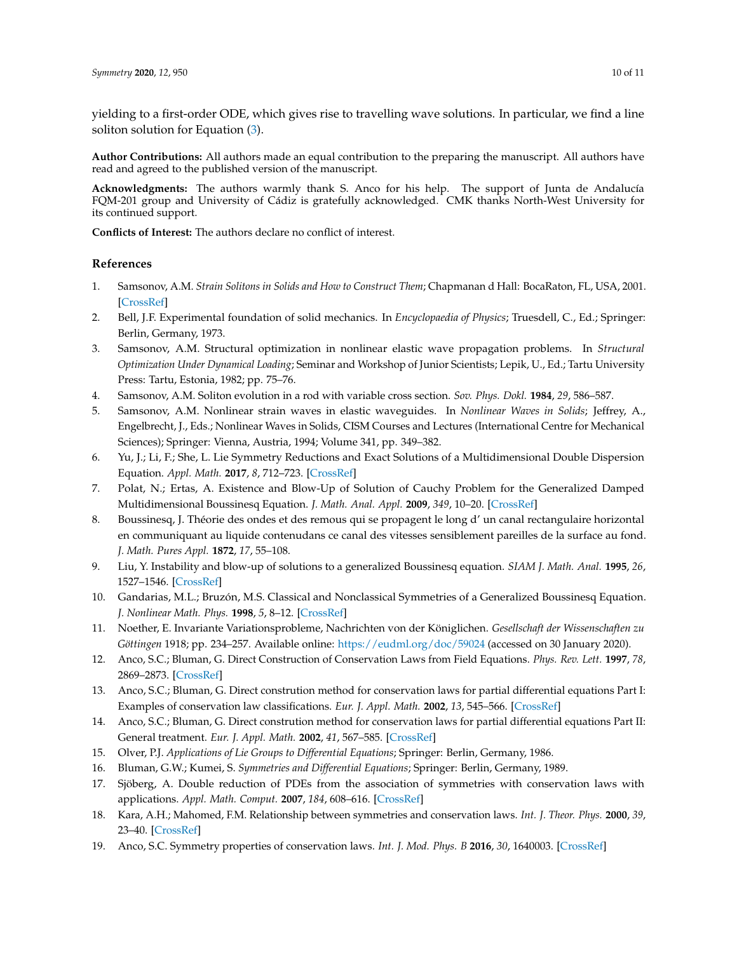yielding to a first-order ODE, which gives rise to travelling wave solutions. In particular, we find a line soliton solution for Equation [\(3\)](#page-1-3).

**Author Contributions:** All authors made an equal contribution to the preparing the manuscript. All authors have read and agreed to the published version of the manuscript.

**Acknowledgments:** The authors warmly thank S. Anco for his help. The support of Junta de Andalucía FQM-201 group and University of Cádiz is gratefully acknowledged. CMK thanks North-West University for its continued support.

**Conflicts of Interest:** The authors declare no conflict of interest.

#### **References**

- <span id="page-9-0"></span>1. Samsonov, A.M. *Strain Solitons in Solids and How to Construct Them*; Chapmanan d Hall: BocaRaton, FL, USA, 2001. [\[CrossRef\]](http://dx.doi.org/10.1201/9781420026139)
- <span id="page-9-1"></span>2. Bell, J.F. Experimental foundation of solid mechanics. In *Encyclopaedia of Physics*; Truesdell, C., Ed.; Springer: Berlin, Germany, 1973.
- <span id="page-9-2"></span>3. Samsonov, A.M. Structural optimization in nonlinear elastic wave propagation problems. In *Structural Optimization Under Dynamical Loading*; Seminar and Workshop of Junior Scientists; Lepik, U., Ed.; Tartu University Press: Tartu, Estonia, 1982; pp. 75–76.
- 4. Samsonov, A.M. Soliton evolution in a rod with variable cross section. *Sov. Phys. Dokl.* **1984**, *29*, 586–587.
- <span id="page-9-3"></span>5. Samsonov, A.M. Nonlinear strain waves in elastic waveguides. In *Nonlinear Waves in Solids*; Jeffrey, A., Engelbrecht, J., Eds.; Nonlinear Waves in Solids, CISM Courses and Lectures (International Centre for Mechanical Sciences); Springer: Vienna, Austria, 1994; Volume 341, pp. 349–382.
- <span id="page-9-4"></span>6. Yu, J.; Li, F.; She, L. Lie Symmetry Reductions and Exact Solutions of a Multidimensional Double Dispersion Equation. *Appl. Math.* **2017**, *8*, 712–723. [\[CrossRef\]](http://dx.doi.org/10.4236/am.2017.85056)
- <span id="page-9-5"></span>7. Polat, N.; Ertas, A. Existence and Blow-Up of Solution of Cauchy Problem for the Generalized Damped Multidimensional Boussinesq Equation. *J. Math. Anal. Appl.* **2009**, *349*, 10–20. [\[CrossRef\]](http://dx.doi.org/10.1016/j.jmaa.2008.08.025)
- <span id="page-9-6"></span>8. Boussinesq, J. Théorie des ondes et des remous qui se propagent le long d' un canal rectangulaire horizontal en communiquant au liquide contenudans ce canal des vitesses sensiblement pareilles de la surface au fond. *J. Math. Pures Appl.* **1872**, *17*, 55–108.
- <span id="page-9-7"></span>9. Liu, Y. Instability and blow-up of solutions to a generalized Boussinesq equation. *SIAM J. Math. Anal.* **1995**, *26*, 1527–1546. [\[CrossRef\]](http://dx.doi.org/10.1137/S0036141093258094)
- <span id="page-9-8"></span>10. Gandarias, M.L.; Bruzón, M.S. Classical and Nonclassical Symmetries of a Generalized Boussinesq Equation. *J. Nonlinear Math. Phys.* **1998**, *5*, 8–12. [\[CrossRef\]](http://dx.doi.org/10.2991/jnmp.1998.5.1.2)
- <span id="page-9-9"></span>11. Noether, E. Invariante Variationsprobleme, Nachrichten von der Königlichen. *Gesellschaft der Wissenschaften zu Göttingen* 1918; pp. 234–257. Available online: <https://eudml.org/doc/59024> (accessed on 30 January 2020).
- <span id="page-9-10"></span>12. Anco, S.C.; Bluman, G. Direct Construction of Conservation Laws from Field Equations. *Phys. Rev. Lett.* **1997**, *78*, 2869–2873. [\[CrossRef\]](http://dx.doi.org/10.1103/PhysRevLett.78.2869)
- <span id="page-9-16"></span>13. Anco, S.C.; Bluman, G. Direct constrution method for conservation laws for partial differential equations Part I: Examples of conservation law classifications. *Eur. J. Appl. Math.* **2002**, *13*, 545–566. [\[CrossRef\]](http://dx.doi.org/10.1017/S095679250100465X)
- <span id="page-9-15"></span>14. Anco, S.C.; Bluman, G. Direct constrution method for conservation laws for partial differential equations Part II: General treatment. *Eur. J. Appl. Math.* **2002**, *41*, 567–585. [\[CrossRef\]](http://dx.doi.org/10.1017/S0956792501004661)
- <span id="page-9-14"></span>15. Olver, P.J. *Applications of Lie Groups to Differential Equations*; Springer: Berlin, Germany, 1986.
- <span id="page-9-11"></span>16. Bluman, G.W.; Kumei, S. *Symmetries and Differential Equations*; Springer: Berlin, Germany, 1989.
- <span id="page-9-12"></span>17. Sjöberg, A. Double reduction of PDEs from the association of symmetries with conservation laws with applications. *Appl. Math. Comput.* **2007**, *184*, 608–616. [\[CrossRef\]](http://dx.doi.org/10.1016/j.amc.2006.06.059)
- 18. Kara, A.H.; Mahomed, F.M. Relationship between symmetries and conservation laws. *Int. J. Theor. Phys.* **2000**, *39*, 23–40. [\[CrossRef\]](http://dx.doi.org/10.1023/A:1003686831523)
- <span id="page-9-13"></span>19. Anco, S.C. Symmetry properties of conservation laws. *Int. J. Mod. Phys. B* **2016**, *30*, 1640003. [\[CrossRef\]](http://dx.doi.org/10.1142/S0217979216400038)